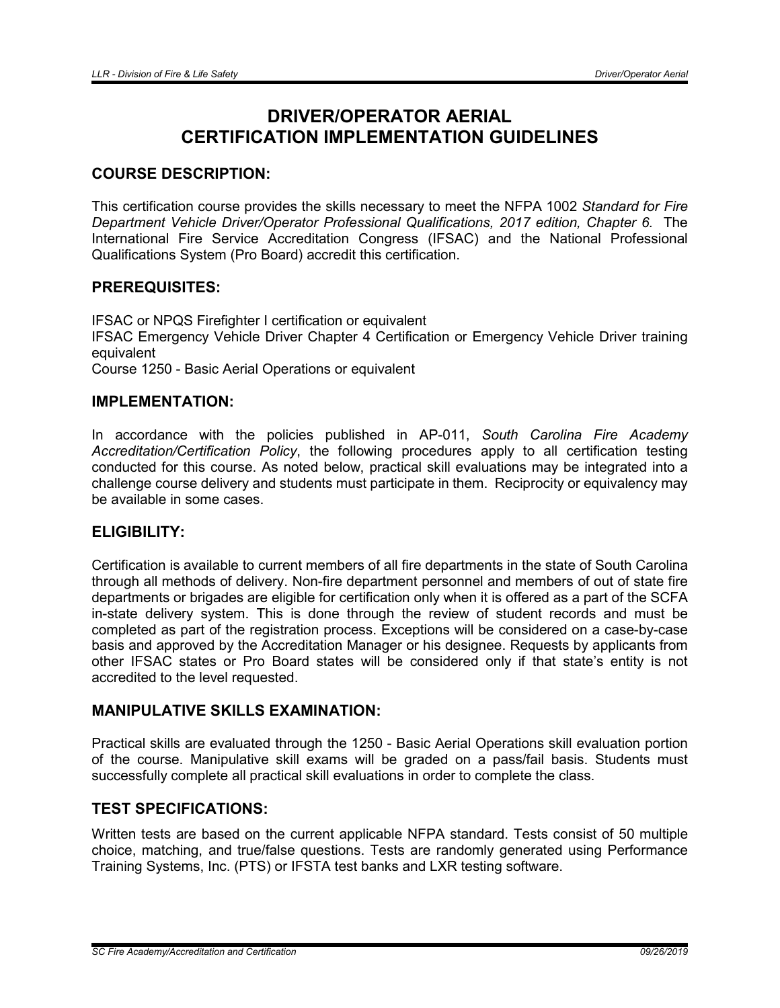# DRIVER/OPERATOR AERIAL CERTIFICATION IMPLEMENTATION GUIDELINES

# COURSE DESCRIPTION:

This certification course provides the skills necessary to meet the NFPA 1002 *Standard for Fire Department Vehicle Driver/Operator Professional Qualifications, 2017 edition, Chapter 6.* The International Fire Service Accreditation Congress (IFSAC) and the National Professional Qualifications System (Pro Board) accredit this certification.

## PREREQUISITES:

IFSAC or NPQS Firefighter I certification or equivalent IFSAC Emergency Vehicle Driver Chapter 4 Certification or Emergency Vehicle Driver training equivalent Course 1250 - Basic Aerial Operations or equivalent

# IMPLEMENTATION:

In accordance with the policies published in AP-011, *South Carolina Fire Academy Accreditation/Certification Policy*, the following procedures apply to all certification testing conducted for this course. As noted below, practical skill evaluations may be integrated into a challenge course delivery and students must participate in them. Reciprocity or equivalency may be available in some cases.

# ELIGIBILITY:

Certification is available to current members of all fire departments in the state of South Carolina through all methods of delivery. Non-fire department personnel and members of out of state fire departments or brigades are eligible for certification only when it is offered as a part of the SCFA in-state delivery system. This is done through the review of student records and must be completed as part of the registration process. Exceptions will be considered on a case-by-case basis and approved by the Accreditation Manager or his designee. Requests by applicants from other IFSAC states or Pro Board states will be considered only if that state's entity is not accredited to the level requested.

# MANIPULATIVE SKILLS EXAMINATION:

Practical skills are evaluated through the 1250 - Basic Aerial Operations skill evaluation portion of the course. Manipulative skill exams will be graded on a pass/fail basis. Students must successfully complete all practical skill evaluations in order to complete the class.

## TEST SPECIFICATIONS:

Written tests are based on the current applicable NFPA standard. Tests consist of 50 multiple choice, matching, and true/false questions. Tests are randomly generated using Performance Training Systems, Inc. (PTS) or IFSTA test banks and LXR testing software.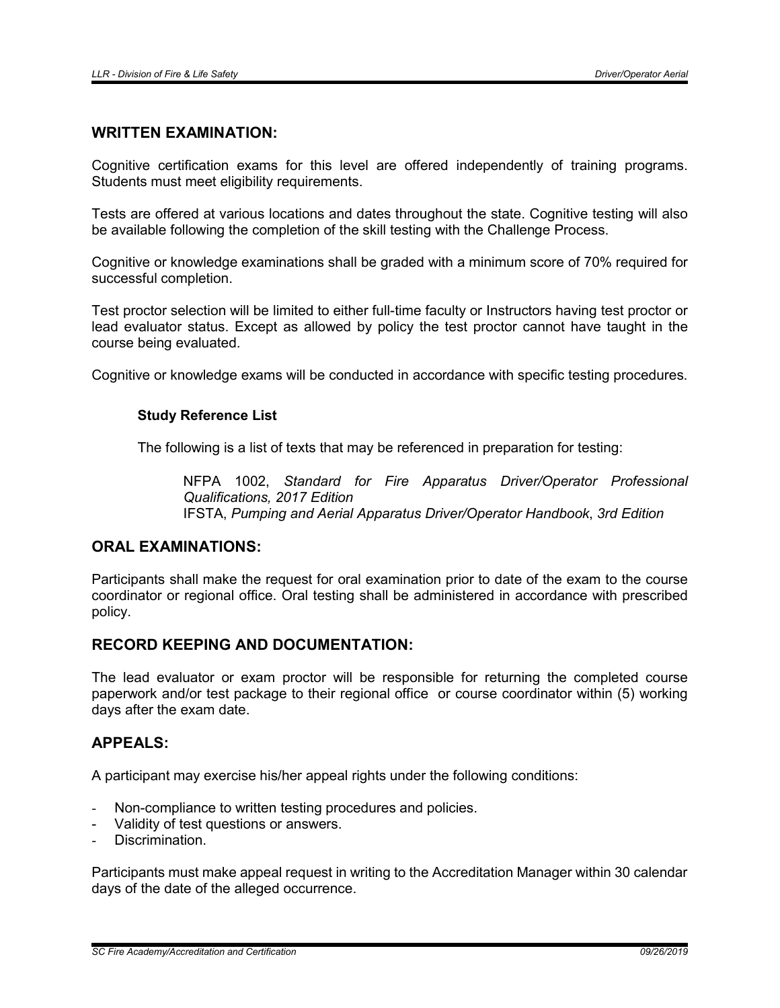#### WRITTEN EXAMINATION:

Cognitive certification exams for this level are offered independently of training programs. Students must meet eligibility requirements.

Tests are offered at various locations and dates throughout the state. Cognitive testing will also be available following the completion of the skill testing with the Challenge Process.

Cognitive or knowledge examinations shall be graded with a minimum score of 70% required for successful completion.

Test proctor selection will be limited to either full-time faculty or Instructors having test proctor or lead evaluator status. Except as allowed by policy the test proctor cannot have taught in the course being evaluated.

Cognitive or knowledge exams will be conducted in accordance with specific testing procedures.

#### Study Reference List

The following is a list of texts that may be referenced in preparation for testing:

NFPA 1002, *Standard for Fire Apparatus Driver/Operator Professional Qualifications, 2017 Edition* IFSTA, *Pumping and Aerial Apparatus Driver/Operator Handbook*, *3rd Edition*

# ORAL EXAMINATIONS:

Participants shall make the request for oral examination prior to date of the exam to the course coordinator or regional office. Oral testing shall be administered in accordance with prescribed policy.

# RECORD KEEPING AND DOCUMENTATION:

The lead evaluator or exam proctor will be responsible for returning the completed course paperwork and/or test package to their regional office or course coordinator within (5) working days after the exam date.

# APPEALS:

A participant may exercise his/her appeal rights under the following conditions:

- Non-compliance to written testing procedures and policies.
- Validity of test questions or answers.
- Discrimination.

Participants must make appeal request in writing to the Accreditation Manager within 30 calendar days of the date of the alleged occurrence.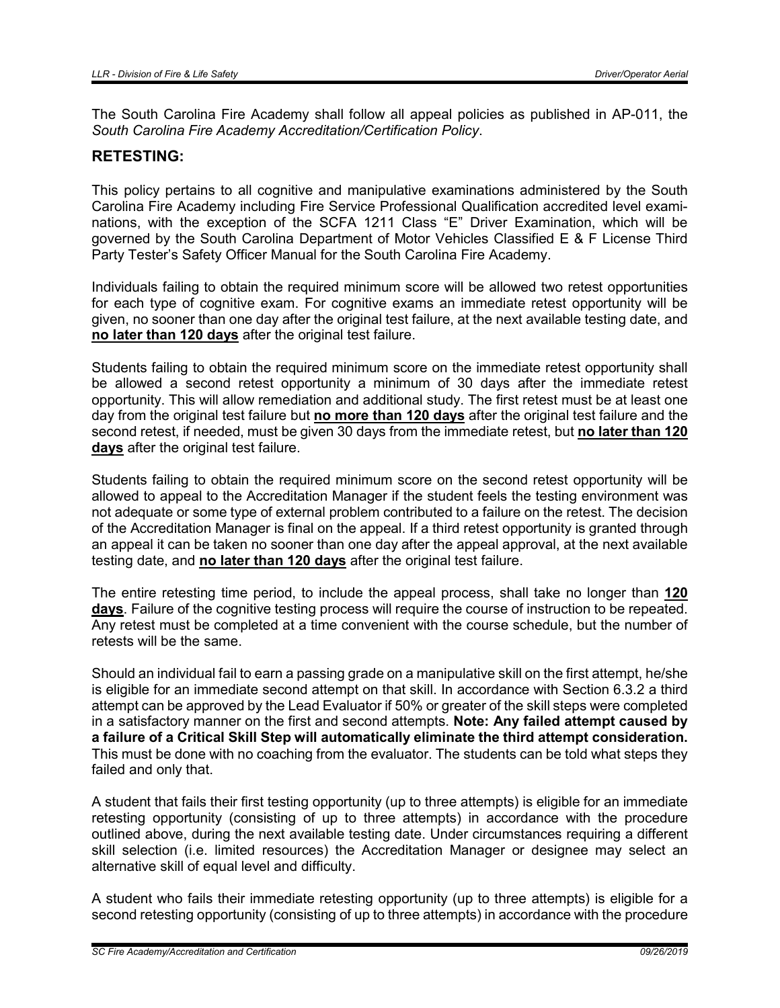The South Carolina Fire Academy shall follow all appeal policies as published in AP-011, the *South Carolina Fire Academy Accreditation/Certification Policy*.

## RETESTING:

This policy pertains to all cognitive and manipulative examinations administered by the South Carolina Fire Academy including Fire Service Professional Qualification accredited level examinations, with the exception of the SCFA 1211 Class "E" Driver Examination, which will be governed by the South Carolina Department of Motor Vehicles Classified E & F License Third Party Tester's Safety Officer Manual for the South Carolina Fire Academy.

Individuals failing to obtain the required minimum score will be allowed two retest opportunities for each type of cognitive exam. For cognitive exams an immediate retest opportunity will be given, no sooner than one day after the original test failure, at the next available testing date, and no later than 120 days after the original test failure.

Students failing to obtain the required minimum score on the immediate retest opportunity shall be allowed a second retest opportunity a minimum of 30 days after the immediate retest opportunity. This will allow remediation and additional study. The first retest must be at least one day from the original test failure but no more than 120 days after the original test failure and the second retest, if needed, must be given 30 days from the immediate retest, but no later than 120 days after the original test failure.

Students failing to obtain the required minimum score on the second retest opportunity will be allowed to appeal to the Accreditation Manager if the student feels the testing environment was not adequate or some type of external problem contributed to a failure on the retest. The decision of the Accreditation Manager is final on the appeal. If a third retest opportunity is granted through an appeal it can be taken no sooner than one day after the appeal approval, at the next available testing date, and no later than 120 days after the original test failure.

The entire retesting time period, to include the appeal process, shall take no longer than 120 days. Failure of the cognitive testing process will require the course of instruction to be repeated. Any retest must be completed at a time convenient with the course schedule, but the number of retests will be the same.

Should an individual fail to earn a passing grade on a manipulative skill on the first attempt, he/she is eligible for an immediate second attempt on that skill. In accordance with Section 6.3.2 a third attempt can be approved by the Lead Evaluator if 50% or greater of the skill steps were completed in a satisfactory manner on the first and second attempts. Note: Any failed attempt caused by a failure of a Critical Skill Step will automatically eliminate the third attempt consideration. This must be done with no coaching from the evaluator. The students can be told what steps they failed and only that.

A student that fails their first testing opportunity (up to three attempts) is eligible for an immediate retesting opportunity (consisting of up to three attempts) in accordance with the procedure outlined above, during the next available testing date. Under circumstances requiring a different skill selection (i.e. limited resources) the Accreditation Manager or designee may select an alternative skill of equal level and difficulty.

A student who fails their immediate retesting opportunity (up to three attempts) is eligible for a second retesting opportunity (consisting of up to three attempts) in accordance with the procedure